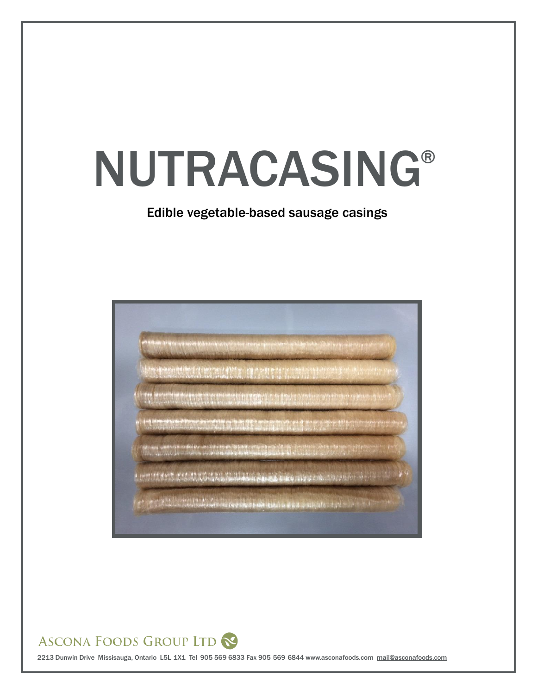# NUTRACASING®

## Edible vegetable-based sausage casings



## ASCONA FOODS GROUP LTD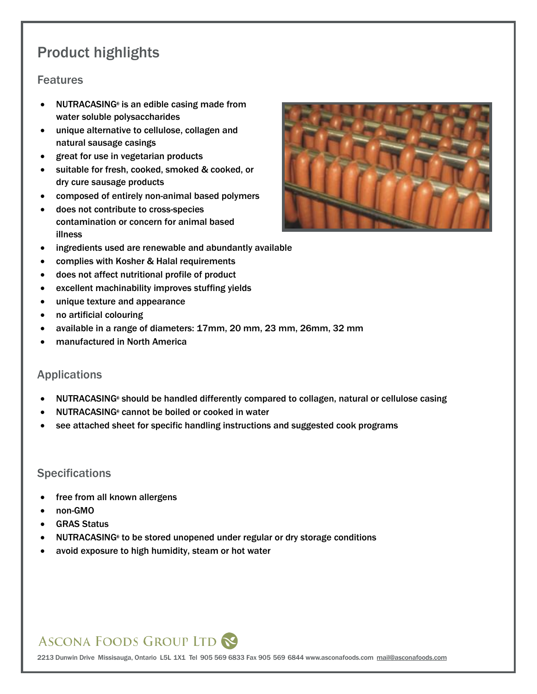# Product highlights

#### **Features**

- NUTRACASING<sup>®</sup> is an edible casing made from water soluble polysaccharides
- unique alternative to cellulose, collagen and natural sausage casings
- great for use in vegetarian products
- suitable for fresh, cooked, smoked & cooked, or dry cure sausage products
- composed of entirely non-animal based polymers
- does not contribute to cross-species contamination or concern for animal based illness



- ingredients used are renewable and abundantly available
- complies with Kosher & Halal requirements
- does not affect nutritional profile of product
- excellent machinability improves stuffing yields
- unique texture and appearance
- no artificial colouring
- available in a range of diameters: 17mm, 20 mm, 23 mm, 26mm, 32 mm
- manufactured in North America

#### Applications

- NUTRACASING<sup>®</sup> should be handled differently compared to collagen, natural or cellulose casing
- NUTRACASING<sup>®</sup> cannot be boiled or cooked in water
- see attached sheet for specific handling instructions and suggested cook programs

#### **Specifications**

- free from all known allergens
- non-GMO
- GRAS Status
- NUTRACASING<sup>®</sup> to be stored unopened under regular or dry storage conditions
- avoid exposure to high humidity, steam or hot water

# **ASCONA FOODS GROUP LTD**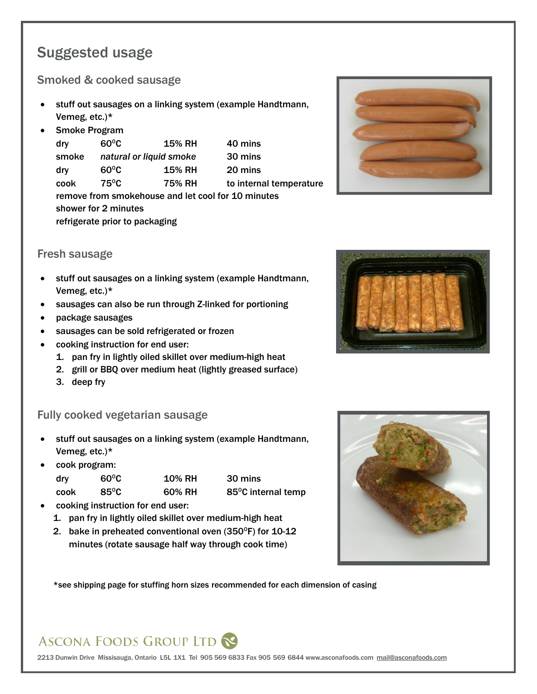# Suggested usage

#### Smoked & cooked sausage

- stuff out sausages on a linking system (example Handtmann, Vemeg, etc.)\*
- Smoke Program

dry  $60^{\circ}$ C 15% RH 40 mins smoke *natural or liquid smoke* 30 mins  $\text{div}$  60°C 15% RH 20 mins cook 75<sup>°</sup>C 75<sup>%</sup> RH to internal temperature remove from smokehouse and let cool for 10 minutes shower for 2 minutes refrigerate prior to packaging

#### Fresh sausage

- stuff out sausages on a linking system (example Handtmann, Vemeg, etc.)\*
- sausages can also be run through Z-linked for portioning
- package sausages
- sausages can be sold refrigerated or frozen
- cooking instruction for end user:
	- 1. pan fry in lightly oiled skillet over medium-high heat
	- 2. grill or BBQ over medium heat (lightly greased surface)
	- 3. deep fry

## Fully cooked vegetarian sausage

- stuff out sausages on a linking system (example Handtmann, Vemeg, etc.)\*
- cook program:

| dry  | $60^{\circ}$ C | <b>10% RH</b> | 30 mins            |
|------|----------------|---------------|--------------------|
| cook | $85^{\circ}$ C | 60% RH        | 85°C internal temp |

- cooking instruction for end user:
- 1. pan fry in lightly oiled skillet over medium-high heat
- 2. bake in preheated conventional oven  $(350^{\circ}F)$  for 10-12 minutes (rotate sausage half way through cook time)



\*see shipping page for stuffing horn sizes recommended for each dimension of casing

# **ASCONA FOODS GROUP LTD**



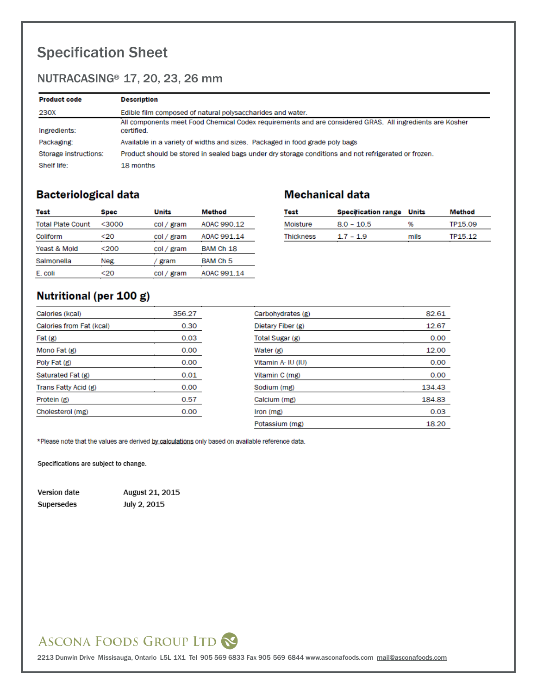# Specification Sheet

## NUTRACASING<sup>®</sup> 17, 20, 23, 26 mm

| <b>Product code</b>   | <b>Description</b>                                                                                                     |
|-----------------------|------------------------------------------------------------------------------------------------------------------------|
| 230X                  | Edible film composed of natural polysaccharides and water.                                                             |
| Ingredients:          | All components meet Food Chemical Codex requirements and are considered GRAS. All ingredients are Kosher<br>certified. |
| Packaging:            | Available in a variety of widths and sizes. Packaged in food grade poly bags                                           |
| Storage instructions: | Product should be stored in sealed bags under dry storage conditions and not refrigerated or frozen.                   |
| Shelf life:           | 18 months                                                                                                              |

## **Bacteriological data**

| Test                     | <b>Spec</b> | <b>Units</b> | Method              |
|--------------------------|-------------|--------------|---------------------|
| <b>Total Plate Count</b> | $<$ 3000    | col / gram   | AOAC 990.12         |
| Coliform                 | $20$        | col / gram   | AOAC 991 14         |
| Yeast & Mold             | <200        | col / gram   | BAM Ch 18           |
| Salmonella               | Neg.        | gram         | BAM Ch <sub>5</sub> |
| E. coli                  | <20         | col / gram   | AOAC 991.14         |
|                          |             |              |                     |

## **Mechanical data**

| Test             | <b>Specification range Units</b> |      | Method  |
|------------------|----------------------------------|------|---------|
| Moisture         | $8.0 - 10.5$                     | 96   | TP15.09 |
| <b>Thickness</b> | $17 - 19$                        | mils | TP15 12 |

## Nutritional (per 100 g)

| Calories (kcal)          | 356.27 | Carbohydrates (g)  | 82.61  |
|--------------------------|--------|--------------------|--------|
| Calories from Fat (kcal) | 0.30   | Dietary Fiber (g)  | 12.67  |
| Fat (g)                  | 0.03   | Total Sugar (g)    | 0.00   |
| Mono Fat (g)             | 0.00   | Water (g)          | 12.00  |
| Poly Fat (g)             | 0.00   | Vitamin A- IU (IU) | 0.00   |
| Saturated Fat (g)        | 0.01   | Vitamin C (mg)     | 0.00   |
| Trans Fatty Acid (g)     | 0.00   | Sodium (mg)        | 134.43 |
| Protein (g)              | 0.57   | Calcium (mg)       | 184.83 |
| Cholesterol (mg)         | 0.00   | lron(mg)           | 0.03   |
|                          |        | Potassium (mg)     | 18.20  |

\*Please note that the values are derived by calculations only based on available reference data.

Specifications are subject to change.

| Version date | August 21, 2015 |
|--------------|-----------------|
| Supersedes   | July 2, 2015    |

# ASCONA FOODS GROUP LTD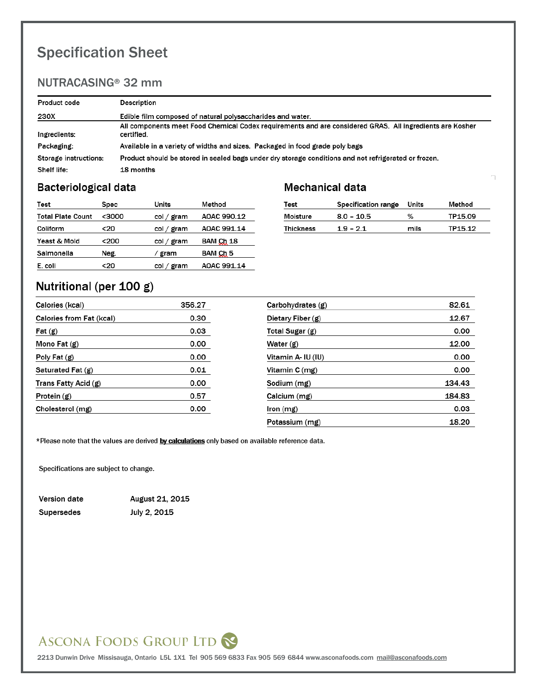# Specification Sheet

## NUTRACASING<sup>®</sup> 32 mm

| <b>Product code</b>   | Description                                                                                                            |
|-----------------------|------------------------------------------------------------------------------------------------------------------------|
| 230X                  | Edible film composed of natural polysaccharides and water.                                                             |
| Ingredients:          | All components meet Food Chemical Codex requirements and are considered GRAS. All ingredients are Kosher<br>certified. |
| Packaging:            | Available in a variety of widths and sizes. Packaged in food grade poly bags                                           |
| Storage instructions: | Product should be stored in sealed bags under dry storage conditions and not refrigerated or frozen.                   |
| Shelf life:           | 18 months                                                                                                              |

#### **Bacteriological data**

| Test                     | Spec  | Units      | Method      |
|--------------------------|-------|------------|-------------|
| <b>Total Plate Count</b> | <3000 | col / gram | AOAC 990.12 |
| Coliform                 | <20   | col / gram | AOAC 991.14 |
| Yeast & Mold             | <200  | col / gram | BAM Ch 18   |
| Salmonella               | Neg.  | gram       | BAM Ch 5    |
| E. coli                  | <20   | col / gram | AOAC 991.14 |

## **Mechanical data**

| Test             | Specification range | Units | Method  |
|------------------|---------------------|-------|---------|
| Moisture         | $8.0 - 10.5$        | %     | TP15.09 |
| <b>Thickness</b> | $1.9 - 2.1$         | mils  | TP15.12 |

## Nutritional (per 100 g)

| Calories (kcal)          | 356.27 | Carbohydrates (g)  | 82.61  |
|--------------------------|--------|--------------------|--------|
| Calories from Fat (kcal) | 0.30   | Dietary Fiber (g)  | 12.67  |
| Fat(g)                   | 0.03   | Total Sugar (g)    | 0.00   |
| Mono Fat (g)             | 0.00   | Water (g)          | 12.00  |
| Poly Fat (g)             | 0.00   | Vitamin A- IU (IU) | 0.00   |
| Saturated Fat (g)        | 0.01   | Vitamin C (mg)     | 0.00   |
| Trans Fatty Acid (g)     | 0.00   | Sodium (mg)        | 134.43 |
| Protein (g)              | 0.57   | Calcium (mg)       | 184.83 |
| Cholesterol (mg)         | 0.00   | Iron (mg)          | 0.03   |
|                          |        | Potassium (mg)     | 18.20  |

\*Please note that the values are derived by calculations only based on available reference data.

Specifications are subject to change.

Version date July 2, 2015 Supersedes

August 21, 2015

# ASCONA FOODS GROUP LTD